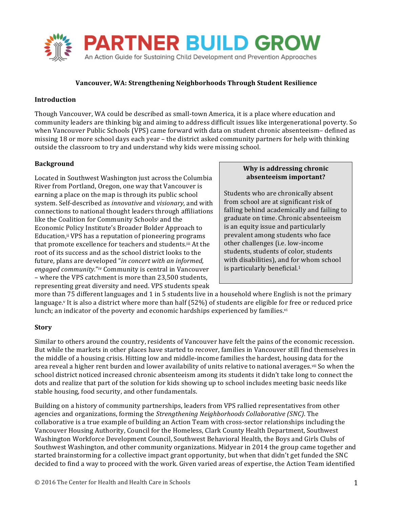

# **Vancouver, WA: Strengthening Neighborhoods Through Student Resilience**

## **Introduction**

Though Vancouver, WA could be described as small-town America, it is a place where education and community leaders are thinking big and aiming to address difficult issues like intergenerational poverty. So when Vancouver Public Schools (VPS) came forward with data on student chronic absenteeism- defined as missing 18 or more school days each year – the district asked community partners for help with thinking outside the classroom to try and understand why kids were missing school.

## **Background**

Located in Southwest Washington just across the Columbia River from Portland, Oregon, one way that Vancouver is earning a place on the map is through its public school system. Self-described as *innovative* and *visionary*, and with connections to national thought leaders through affiliations like the Coalition for Community Schoolsi and the Economic Policy Institute's Broader Bolder Approach to Education,<sup>ii</sup> VPS has a reputation of pioneering programs that promote excellence for teachers and students.iii At the root of its success and as the school district looks to the future, plans are developed "*in concert with an informed*, *engaged community."iv* Community is central in Vancouver – where the VPS catchment is more than 23,500 students, representing great diversity and need. VPS students speak

#### **Why is addressing chronic absenteeism important?**

Students who are chronically absent from school are at significant risk of falling behind academically and failing to graduate on time. Chronic absenteeism is an equity issue and particularly prevalent among students who face other challenges (i.e. low-income students, students of color, students with disabilities), and for whom school is particularly beneficial. $1$ 

more than 75 different languages and 1 in 5 students live in a household where English is not the primary language.<sup>v</sup> It is also a district where more than half  $(52%)$  of students are eligible for free or reduced price lunch; an indicator of the poverty and economic hardships experienced by families.<sup>vi</sup>

#### **Story**

Similar to others around the country, residents of Vancouver have felt the pains of the economic recession. But while the markets in other places have started to recover, families in Vancouver still find themselves in the middle of a housing crisis. Hitting low and middle-income families the hardest, housing data for the area reveal a higher rent burden and lower availability of units relative to national averages.<sup>vii</sup> So when the school district noticed increased chronic absenteeism among its students it didn't take long to connect the dots and realize that part of the solution for kids showing up to school includes meeting basic needs like stable housing, food security, and other fundamentals.

Building on a history of community partnerships, leaders from VPS rallied representatives from other agencies and organizations, forming the *Strengthening Neighborhoods Collaborative (SNC)*. The collaborative is a true example of building an Action Team with cross-sector relationships including the Vancouver Housing Authority, Council for the Homeless, Clark County Health Department, Southwest Washington Workforce Development Council, Southwest Behavioral Health, the Boys and Girls Clubs of Southwest Washington, and other community organizations. Midyear in 2014 the group came together and started brainstorming for a collective impact grant opportunity, but when that didn't get funded the SNC decided to find a way to proceed with the work. Given varied areas of expertise, the Action Team identified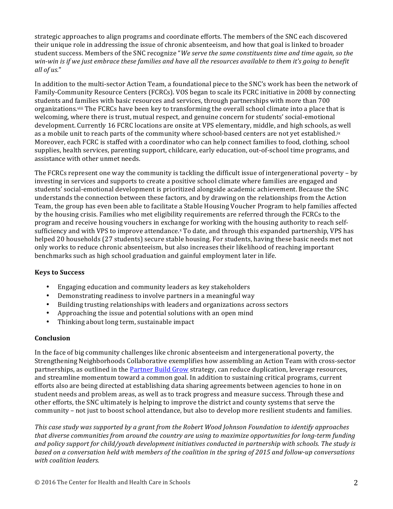strategic approaches to align programs and coordinate efforts. The members of the SNC each discovered their unique role in addressing the issue of chronic absenteeism, and how that goal is linked to broader student success. Members of the SNC recognize "We serve the same constituents time and time again, so the *win-win is if we just embrace these families and have all the resources available to them it's going to benefit all of us.*"

In addition to the multi-sector Action Team, a foundational piece to the SNC's work has been the network of Family-Community Resource Centers (FCRCs). VOS began to scale its FCRC initiative in 2008 by connecting students and families with basic resources and services, through partnerships with more than 700 organizations.<sup>viii</sup> The FCRCs have been key to transforming the overall school climate into a place that is welcoming, where there is trust, mutual respect, and genuine concern for students' social-emotional development. Currently 16 FCRC locations are onsite at VPS elementary, middle, and high schools, as well as a mobile unit to reach parts of the community where school-based centers are not yet established.<sup>ix</sup> Moreover, each FCRC is staffed with a coordinator who can help connect families to food, clothing, school supplies, health services, parenting support, childcare, early education, out-of-school time programs, and assistance with other unmet needs.

The FCRCs represent one way the community is tackling the difficult issue of intergenerational poverty – by investing in services and supports to create a positive school climate where families are engaged and students' social-emotional development is prioritized alongside academic achievement. Because the SNC understands the connection between these factors, and by drawing on the relationships from the Action Team, the group has even been able to facilitate a Stable Housing Voucher Program to help families affected by the housing crisis. Families who met eligibility requirements are referred through the FCRCs to the program and receive housing vouchers in exchange for working with the housing authority to reach selfsufficiency and with VPS to improve attendance.<sup>x</sup> To date, and through this expanded partnership, VPS has helped 20 households (27 students) secure stable housing. For students, having these basic needs met not only works to reduce chronic absenteeism, but also increases their likelihood of reaching important benchmarks such as high school graduation and gainful employment later in life.

# **Keys to Success**

- Engaging education and community leaders as key stakeholders
- Demonstrating readiness to involve partners in a meaningful way
- Building trusting relationships with leaders and organizations across sectors
- Approaching the issue and potential solutions with an open mind
- Thinking about long term, sustainable impact

#### **Conclusion**

In the face of big community challenges like chronic absenteeism and intergenerational poverty, the Strengthening Neighborhoods Collaborative exemplifies how assembling an Action Team with cross-sector partnerships, as outlined in the Partner Build Grow strategy, can reduce duplication, leverage resources, and streamline momentum toward a common goal. In addition to sustaining critical programs, current efforts also are being directed at establishing data sharing agreements between agencies to hone in on student needs and problem areas, as well as to track progress and measure success. Through these and other efforts, the SNC ultimately is helping to improve the district and county systems that serve the community – not just to boost school attendance, but also to develop more resilient students and families.

*This case study* was supported by a grant from the Robert Wood Johnson Foundation to identify approaches that diverse communities from around the country are using to maximize opportunities for long-term funding and policy support for child/youth development initiatives conducted in partnership with schools. The study is *based* on a conversation held with members of the coalition in the spring of 2015 and follow-up conversations *with coalition leaders.*